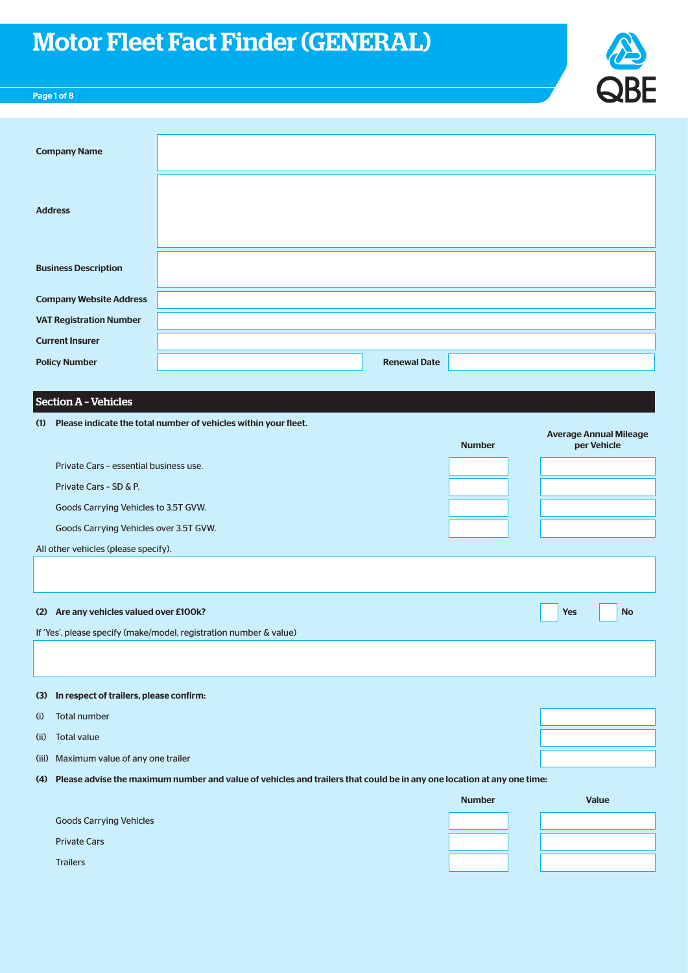

# Page 1 of 8

| <b>Company Name</b>            |                     |  |
|--------------------------------|---------------------|--|
| <b>Address</b>                 |                     |  |
| <b>Business Description</b>    |                     |  |
| <b>Company Website Address</b> |                     |  |
| <b>VAT Registration Number</b> |                     |  |
| <b>Current Insurer</b>         |                     |  |
| <b>Policy Number</b>           | <b>Renewal Date</b> |  |
|                                |                     |  |

# Section A – Vehicles

|      | (1) Please indicate the total number of vehicles within your fleet.                                                        |               |                                              |
|------|----------------------------------------------------------------------------------------------------------------------------|---------------|----------------------------------------------|
|      |                                                                                                                            | <b>Number</b> | <b>Average Annual Mileage</b><br>per Vehicle |
|      | Private Cars - essential business use.                                                                                     |               |                                              |
|      | Private Cars - SD & P.                                                                                                     |               |                                              |
|      | Goods Carrying Vehicles to 3.5T GVW.                                                                                       |               |                                              |
|      | Goods Carrying Vehicles over 3.5T GVW.                                                                                     |               |                                              |
|      | All other vehicles (please specify).                                                                                       |               |                                              |
|      |                                                                                                                            |               |                                              |
|      |                                                                                                                            |               |                                              |
|      | (2) Are any vehicles valued over £100k?                                                                                    |               | <b>No</b><br><b>Yes</b>                      |
|      | If 'Yes', please specify (make/model, registration number & value)                                                         |               |                                              |
|      |                                                                                                                            |               |                                              |
|      |                                                                                                                            |               |                                              |
|      | (3) In respect of trailers, please confirm:                                                                                |               |                                              |
| (i)  | <b>Total number</b>                                                                                                        |               |                                              |
| (ii) | <b>Total value</b>                                                                                                         |               |                                              |
|      | (iii) Maximum value of any one trailer                                                                                     |               |                                              |
|      | (4) Please advise the maximum number and value of vehicles and trailers that could be in any one location at any one time: |               |                                              |
|      |                                                                                                                            | <b>Number</b> | <b>Value</b>                                 |
|      | <b>Goods Carrying Vehicles</b>                                                                                             |               |                                              |
|      | <b>Private Cars</b>                                                                                                        |               |                                              |
|      | <b>Trailers</b>                                                                                                            |               |                                              |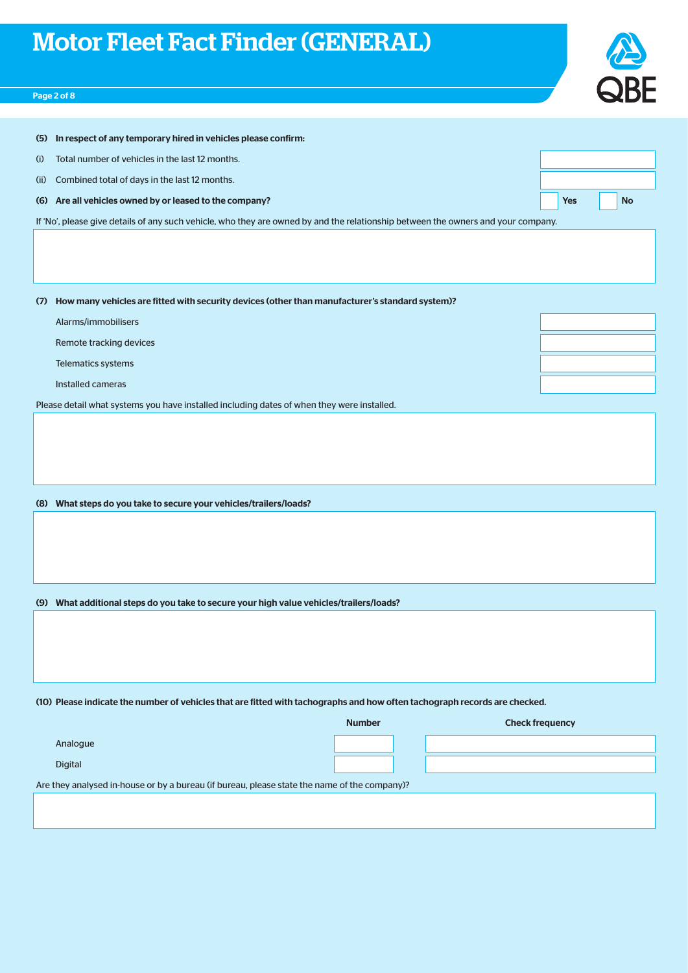# QBE

# Page 2 of 8

| In respect of any temporary hired in vehicles please confirm:<br>(5)                                                              |               |                         |
|-----------------------------------------------------------------------------------------------------------------------------------|---------------|-------------------------|
| Total number of vehicles in the last 12 months.<br>(i)                                                                            |               |                         |
| Combined total of days in the last 12 months.<br>(ii)                                                                             |               |                         |
| (6) Are all vehicles owned by or leased to the company?                                                                           |               | <b>Yes</b><br><b>No</b> |
| If 'No', please give details of any such vehicle, who they are owned by and the relationship between the owners and your company. |               |                         |
|                                                                                                                                   |               |                         |
|                                                                                                                                   |               |                         |
|                                                                                                                                   |               |                         |
| How many vehicles are fitted with security devices (other than manufacturer's standard system)?<br>(7)                            |               |                         |
| Alarms/immobilisers                                                                                                               |               |                         |
| Remote tracking devices                                                                                                           |               |                         |
| Telematics systems                                                                                                                |               |                         |
| Installed cameras                                                                                                                 |               |                         |
| Please detail what systems you have installed including dates of when they were installed.                                        |               |                         |
|                                                                                                                                   |               |                         |
|                                                                                                                                   |               |                         |
|                                                                                                                                   |               |                         |
|                                                                                                                                   |               |                         |
| (8) What steps do you take to secure your vehicles/trailers/loads?                                                                |               |                         |
|                                                                                                                                   |               |                         |
|                                                                                                                                   |               |                         |
|                                                                                                                                   |               |                         |
|                                                                                                                                   |               |                         |
| (9) What additional steps do you take to secure your high value vehicles/trailers/loads?                                          |               |                         |
|                                                                                                                                   |               |                         |
|                                                                                                                                   |               |                         |
|                                                                                                                                   |               |                         |
|                                                                                                                                   |               |                         |
| (10) Please indicate the number of vehicles that are fitted with tachographs and how often tachograph records are checked.        |               |                         |
|                                                                                                                                   | <b>Number</b> | <b>Check frequency</b>  |
| Analogue                                                                                                                          |               |                         |
| <b>Digital</b>                                                                                                                    |               |                         |
| Are they analysed in-house or by a bureau (if bureau, please state the name of the company)?                                      |               |                         |
|                                                                                                                                   |               |                         |
|                                                                                                                                   |               |                         |
|                                                                                                                                   |               |                         |
|                                                                                                                                   |               |                         |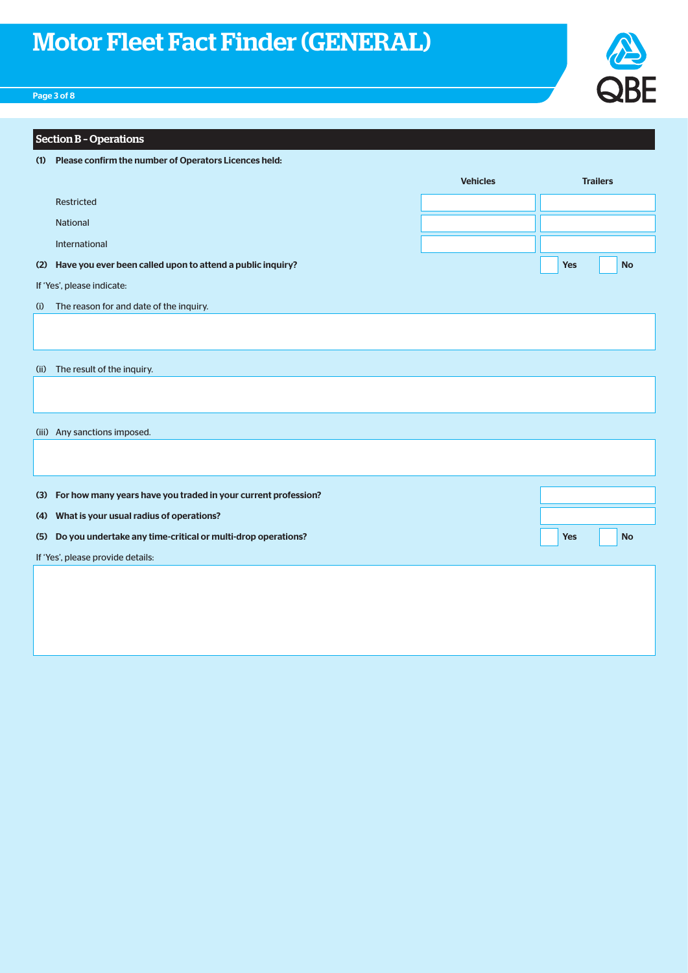

# Page 3 of 8

|     | <b>Section B - Operations</b>                                      |                 |                 |           |
|-----|--------------------------------------------------------------------|-----------------|-----------------|-----------|
|     | (1) Please confirm the number of Operators Licences held:          |                 |                 |           |
|     |                                                                    | <b>Vehicles</b> | <b>Trailers</b> |           |
|     | <b>Restricted</b>                                                  |                 |                 |           |
|     | <b>National</b>                                                    |                 |                 |           |
|     | International                                                      |                 |                 |           |
|     | (2) Have you ever been called upon to attend a public inquiry?     |                 | Yes             | <b>No</b> |
|     | If 'Yes', please indicate:                                         |                 |                 |           |
| (i) | The reason for and date of the inquiry.                            |                 |                 |           |
|     |                                                                    |                 |                 |           |
|     | (ii) The result of the inquiry.                                    |                 |                 |           |
|     |                                                                    |                 |                 |           |
|     | (iii) Any sanctions imposed.                                       |                 |                 |           |
|     |                                                                    |                 |                 |           |
|     |                                                                    |                 |                 |           |
|     | (3) For how many years have you traded in your current profession? |                 |                 |           |
|     | (4) What is your usual radius of operations?                       |                 |                 |           |
| (5) | Do you undertake any time-critical or multi-drop operations?       |                 | <b>Yes</b>      | <b>No</b> |
|     | If 'Yes', please provide details:                                  |                 |                 |           |
|     |                                                                    |                 |                 |           |
|     |                                                                    |                 |                 |           |
|     |                                                                    |                 |                 |           |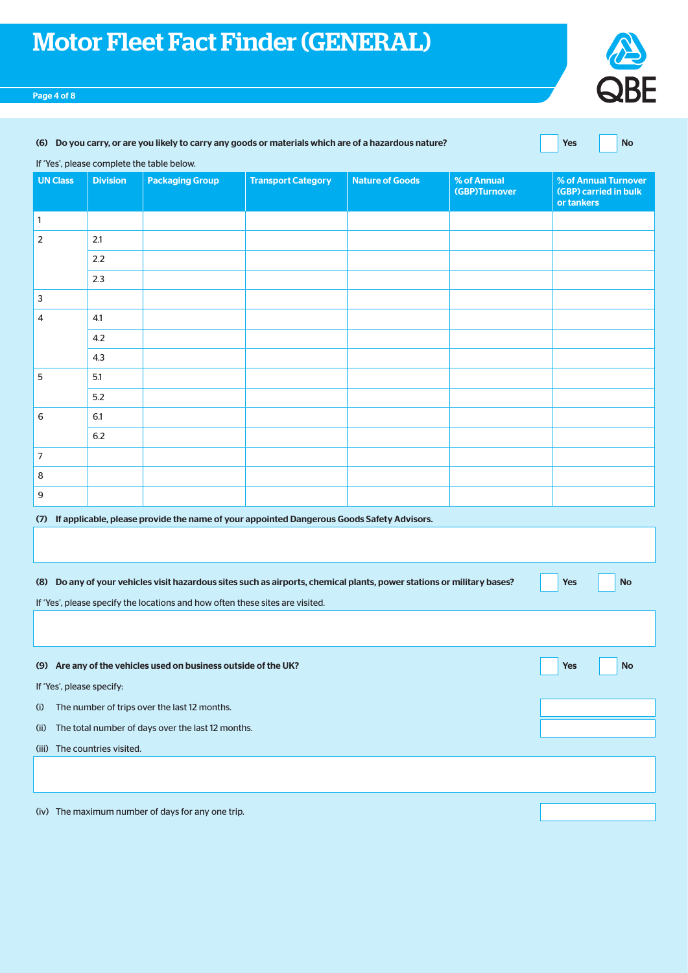#### Page 4 of 8



| (6) Do you carry, or are you likely to carry any goods or materials which are of a hazardous nature? | Yes No |  |
|------------------------------------------------------------------------------------------------------|--------|--|
|                                                                                                      |        |  |

If 'Yes', please complete the table below.

| <b>UN Class</b> | <b>Division</b>         | <b>Packaging Group</b>                                                                                                                                                                                  | <b>Transport Category</b> | <b>Nature of Goods</b> | % of Annual<br>(GBP)Turnover | % of Annual Turnover<br>(GBP) carried in bulk<br>or tankers |
|-----------------|-------------------------|---------------------------------------------------------------------------------------------------------------------------------------------------------------------------------------------------------|---------------------------|------------------------|------------------------------|-------------------------------------------------------------|
| $\mathbf{1}$    |                         |                                                                                                                                                                                                         |                           |                        |                              |                                                             |
| $\overline{2}$  | 2.1                     |                                                                                                                                                                                                         |                           |                        |                              |                                                             |
|                 | $2.2\,$                 |                                                                                                                                                                                                         |                           |                        |                              |                                                             |
|                 | 2.3                     |                                                                                                                                                                                                         |                           |                        |                              |                                                             |
| $\mathsf 3$     |                         |                                                                                                                                                                                                         |                           |                        |                              |                                                             |
| 4               | 4.1                     |                                                                                                                                                                                                         |                           |                        |                              |                                                             |
|                 | 4.2                     |                                                                                                                                                                                                         |                           |                        |                              |                                                             |
|                 | 4.3                     |                                                                                                                                                                                                         |                           |                        |                              |                                                             |
| 5               | 5.1                     |                                                                                                                                                                                                         |                           |                        |                              |                                                             |
|                 | 5.2                     |                                                                                                                                                                                                         |                           |                        |                              |                                                             |
| 6               | 6.1                     |                                                                                                                                                                                                         |                           |                        |                              |                                                             |
|                 | 6.2                     |                                                                                                                                                                                                         |                           |                        |                              |                                                             |
| $\sqrt{ }$      |                         |                                                                                                                                                                                                         |                           |                        |                              |                                                             |
| 8               |                         |                                                                                                                                                                                                         |                           |                        |                              |                                                             |
| $\mathsf 9$     |                         |                                                                                                                                                                                                         |                           |                        |                              |                                                             |
|                 |                         | (7) If applicable, please provide the name of your appointed Dangerous Goods Safety Advisors.                                                                                                           |                           |                        |                              |                                                             |
|                 |                         |                                                                                                                                                                                                         |                           |                        |                              |                                                             |
|                 |                         | (8) Do any of your vehicles visit hazardous sites such as airports, chemical plants, power stations or military bases?<br>If 'Yes', please specify the locations and how often these sites are visited. |                           |                        |                              | <b>Yes</b><br><b>No</b>                                     |
|                 |                         |                                                                                                                                                                                                         |                           |                        |                              |                                                             |
|                 |                         | (9) Are any of the vehicles used on business outside of the UK?                                                                                                                                         |                           |                        |                              | <b>Yes</b><br><b>No</b>                                     |
|                 | If 'Vor' plance concifu |                                                                                                                                                                                                         |                           |                        |                              |                                                             |

If 'Yes', please specify:

(i) The number of trips over the last 12 months.

(ii) The total number of days over the last 12 months.

(iii) The countries visited.

(iv) The maximum number of days for any one trip.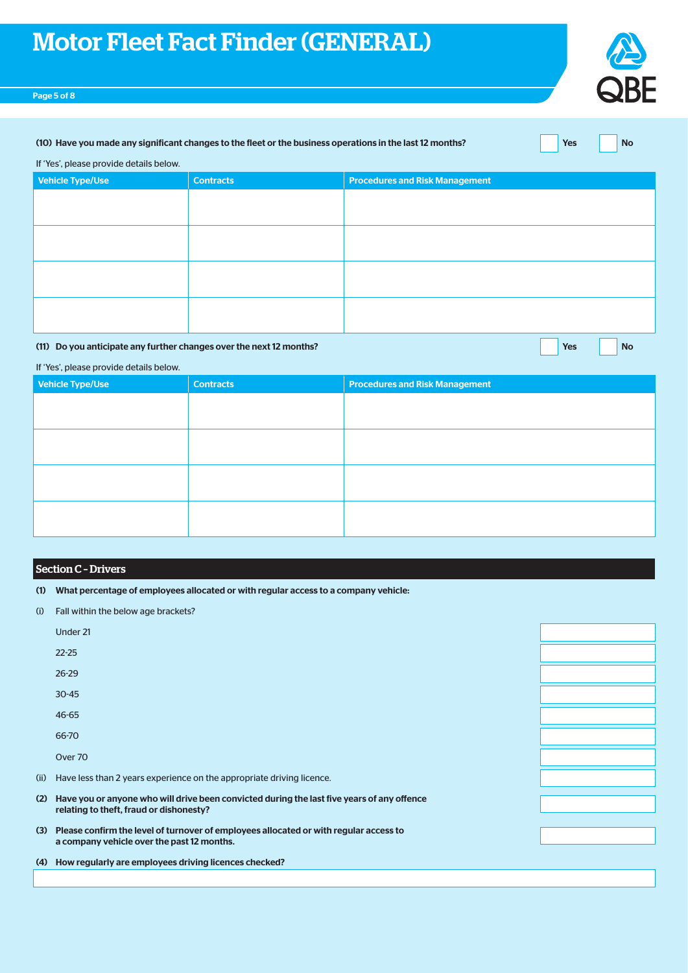# Page 5 of 8



#### (10) Have you made any significant changes to the fleet or the business operations in the last 12 months? Yes No

If 'Yes', please provide details below.

| <b>Vehicle Type/Use</b> | <b>Contracts</b> | <b>Procedures and Risk Management</b> |
|-------------------------|------------------|---------------------------------------|
|                         |                  |                                       |
|                         |                  |                                       |
|                         |                  |                                       |
|                         |                  |                                       |
|                         |                  |                                       |
|                         |                  |                                       |
|                         |                  |                                       |
|                         |                  |                                       |

# (11) Do you anticipate any further changes over the next 12 months?

| res | No |
|-----|----|

If 'Yes', please provide details below.

| Vehicle Type/Use | <b>Contracts</b> | <b>Procedures and Risk Management</b> |
|------------------|------------------|---------------------------------------|
|                  |                  |                                       |
|                  |                  |                                       |
|                  |                  |                                       |
|                  |                  |                                       |
|                  |                  |                                       |
|                  |                  |                                       |
|                  |                  |                                       |
|                  |                  |                                       |

# Section C – Drivers

- (1) What percentage of employees allocated or with regular access to a company vehicle:
- (i) Fall within the below age brackets?

|      | Under 21                                                                                                                                |  |
|------|-----------------------------------------------------------------------------------------------------------------------------------------|--|
|      | $22 - 25$                                                                                                                               |  |
|      | $26 - 29$                                                                                                                               |  |
|      | $30 - 45$                                                                                                                               |  |
|      | $46 - 65$                                                                                                                               |  |
|      | 66-70                                                                                                                                   |  |
|      | Over 70                                                                                                                                 |  |
| (ii) | Have less than 2 years experience on the appropriate driving licence.                                                                   |  |
| (2)  | Have you or anyone who will drive been convicted during the last five years of any offence<br>relating to theft, fraud or dishonesty?   |  |
|      |                                                                                                                                         |  |
|      | (3) Please confirm the level of turnover of employees allocated or with regular access to<br>a company vehicle over the past 12 months. |  |
|      |                                                                                                                                         |  |
|      | (4) How regularly are employees driving licences checked?                                                                               |  |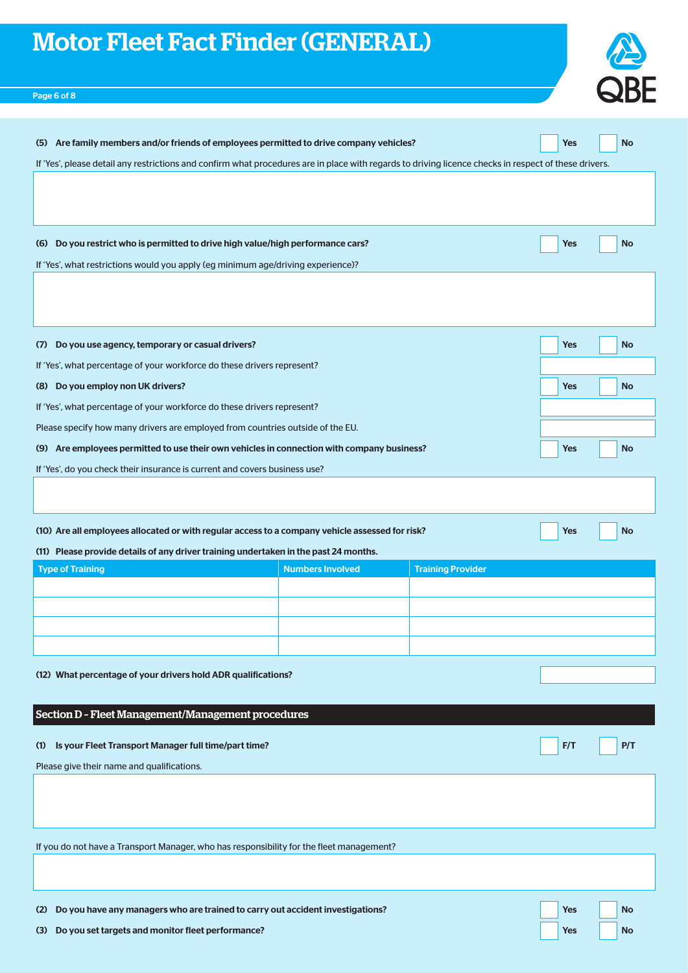

# Page 6 of 8

| If 'Yes', please detail any restrictions and confirm what procedures are in place with regards to driving licence checks in respect of these drivers.<br>(6) Do you restrict who is permitted to drive high value/high performance cars?<br><b>Yes</b><br><b>No</b><br>If 'Yes', what restrictions would you apply (eg minimum age/driving experience)?<br>(7) Do you use agency, temporary or casual drivers?<br><b>Yes</b><br>No<br>If 'Yes', what percentage of your workforce do these drivers represent?<br>(8) Do you employ non UK drivers?<br><b>Yes</b><br><b>No</b><br>If 'Yes', what percentage of your workforce do these drivers represent?<br>Please specify how many drivers are employed from countries outside of the EU.<br>(9) Are employees permitted to use their own vehicles in connection with company business?<br><b>No</b><br>Yes |
|--------------------------------------------------------------------------------------------------------------------------------------------------------------------------------------------------------------------------------------------------------------------------------------------------------------------------------------------------------------------------------------------------------------------------------------------------------------------------------------------------------------------------------------------------------------------------------------------------------------------------------------------------------------------------------------------------------------------------------------------------------------------------------------------------------------------------------------------------------------|
|                                                                                                                                                                                                                                                                                                                                                                                                                                                                                                                                                                                                                                                                                                                                                                                                                                                              |
|                                                                                                                                                                                                                                                                                                                                                                                                                                                                                                                                                                                                                                                                                                                                                                                                                                                              |
|                                                                                                                                                                                                                                                                                                                                                                                                                                                                                                                                                                                                                                                                                                                                                                                                                                                              |
|                                                                                                                                                                                                                                                                                                                                                                                                                                                                                                                                                                                                                                                                                                                                                                                                                                                              |
|                                                                                                                                                                                                                                                                                                                                                                                                                                                                                                                                                                                                                                                                                                                                                                                                                                                              |
|                                                                                                                                                                                                                                                                                                                                                                                                                                                                                                                                                                                                                                                                                                                                                                                                                                                              |
|                                                                                                                                                                                                                                                                                                                                                                                                                                                                                                                                                                                                                                                                                                                                                                                                                                                              |
|                                                                                                                                                                                                                                                                                                                                                                                                                                                                                                                                                                                                                                                                                                                                                                                                                                                              |
|                                                                                                                                                                                                                                                                                                                                                                                                                                                                                                                                                                                                                                                                                                                                                                                                                                                              |
|                                                                                                                                                                                                                                                                                                                                                                                                                                                                                                                                                                                                                                                                                                                                                                                                                                                              |
|                                                                                                                                                                                                                                                                                                                                                                                                                                                                                                                                                                                                                                                                                                                                                                                                                                                              |
| If 'Yes', do you check their insurance is current and covers business use?                                                                                                                                                                                                                                                                                                                                                                                                                                                                                                                                                                                                                                                                                                                                                                                   |
|                                                                                                                                                                                                                                                                                                                                                                                                                                                                                                                                                                                                                                                                                                                                                                                                                                                              |
| (10) Are all employees allocated or with regular access to a company vehicle assessed for risk?<br>Yes<br><b>No</b>                                                                                                                                                                                                                                                                                                                                                                                                                                                                                                                                                                                                                                                                                                                                          |
| (11) Please provide details of any driver training undertaken in the past 24 months.                                                                                                                                                                                                                                                                                                                                                                                                                                                                                                                                                                                                                                                                                                                                                                         |
| <b>Numbers Involved</b><br><b>Training Provider</b><br><b>Type of Training</b>                                                                                                                                                                                                                                                                                                                                                                                                                                                                                                                                                                                                                                                                                                                                                                               |
|                                                                                                                                                                                                                                                                                                                                                                                                                                                                                                                                                                                                                                                                                                                                                                                                                                                              |
|                                                                                                                                                                                                                                                                                                                                                                                                                                                                                                                                                                                                                                                                                                                                                                                                                                                              |
|                                                                                                                                                                                                                                                                                                                                                                                                                                                                                                                                                                                                                                                                                                                                                                                                                                                              |
|                                                                                                                                                                                                                                                                                                                                                                                                                                                                                                                                                                                                                                                                                                                                                                                                                                                              |
| (12) What percentage of your drivers hold ADR qualifications?                                                                                                                                                                                                                                                                                                                                                                                                                                                                                                                                                                                                                                                                                                                                                                                                |
|                                                                                                                                                                                                                                                                                                                                                                                                                                                                                                                                                                                                                                                                                                                                                                                                                                                              |
| Section D - Fleet Management/Management procedures                                                                                                                                                                                                                                                                                                                                                                                                                                                                                                                                                                                                                                                                                                                                                                                                           |
|                                                                                                                                                                                                                                                                                                                                                                                                                                                                                                                                                                                                                                                                                                                                                                                                                                                              |
| Is your Fleet Transport Manager full time/part time?<br>F/T<br>P/T<br>(1)                                                                                                                                                                                                                                                                                                                                                                                                                                                                                                                                                                                                                                                                                                                                                                                    |
| Please give their name and qualifications.                                                                                                                                                                                                                                                                                                                                                                                                                                                                                                                                                                                                                                                                                                                                                                                                                   |
|                                                                                                                                                                                                                                                                                                                                                                                                                                                                                                                                                                                                                                                                                                                                                                                                                                                              |
|                                                                                                                                                                                                                                                                                                                                                                                                                                                                                                                                                                                                                                                                                                                                                                                                                                                              |
| If you do not have a Transport Manager, who has responsibility for the fleet management?                                                                                                                                                                                                                                                                                                                                                                                                                                                                                                                                                                                                                                                                                                                                                                     |
| Do you have any managers who are trained to carry out accident investigations?<br><b>Yes</b><br><b>No</b><br>(2)                                                                                                                                                                                                                                                                                                                                                                                                                                                                                                                                                                                                                                                                                                                                             |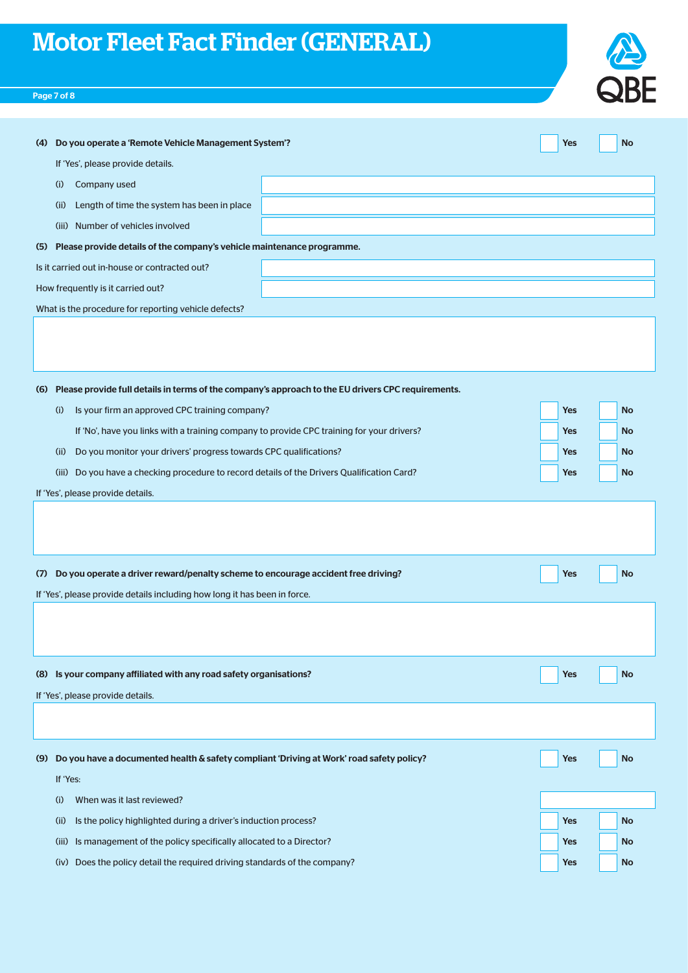# Page 7 of 8

| <b>SBF</b> |
|------------|

| Do you operate a 'Remote Vehicle Management System'?<br>(4)                                            |  | Yes        | <b>No</b> |  |  |  |
|--------------------------------------------------------------------------------------------------------|--|------------|-----------|--|--|--|
| If 'Yes', please provide details.                                                                      |  |            |           |  |  |  |
| Company used<br>(i)                                                                                    |  |            |           |  |  |  |
| Length of time the system has been in place<br>(ii)                                                    |  |            |           |  |  |  |
| Number of vehicles involved<br>(iii)                                                                   |  |            |           |  |  |  |
| Please provide details of the company's vehicle maintenance programme.<br>(5)                          |  |            |           |  |  |  |
| Is it carried out in-house or contracted out?                                                          |  |            |           |  |  |  |
| How frequently is it carried out?                                                                      |  |            |           |  |  |  |
| What is the procedure for reporting vehicle defects?                                                   |  |            |           |  |  |  |
|                                                                                                        |  |            |           |  |  |  |
|                                                                                                        |  |            |           |  |  |  |
|                                                                                                        |  |            |           |  |  |  |
| (6) Please provide full details in terms of the company's approach to the EU drivers CPC requirements. |  |            |           |  |  |  |
| Is your firm an approved CPC training company?<br>(i)                                                  |  | Yes        | <b>No</b> |  |  |  |
| If 'No', have you links with a training company to provide CPC training for your drivers?              |  | <b>Yes</b> | <b>No</b> |  |  |  |
| Do you monitor your drivers' progress towards CPC qualifications?<br>(ii)                              |  | Yes        | <b>No</b> |  |  |  |
| Do you have a checking procedure to record details of the Drivers Qualification Card?<br>(iii)         |  | Yes        | <b>No</b> |  |  |  |
| If 'Yes', please provide details.                                                                      |  |            |           |  |  |  |
|                                                                                                        |  |            |           |  |  |  |
|                                                                                                        |  |            |           |  |  |  |
|                                                                                                        |  |            |           |  |  |  |

| Do you operate a driver reward/penalty scheme to encourage accident free driving?<br>(7)        |  |            | <b>No</b> |  |  |  |
|-------------------------------------------------------------------------------------------------|--|------------|-----------|--|--|--|
| If 'Yes', please provide details including how long it has been in force.                       |  |            |           |  |  |  |
|                                                                                                 |  |            |           |  |  |  |
|                                                                                                 |  |            |           |  |  |  |
|                                                                                                 |  |            |           |  |  |  |
| Is your company affiliated with any road safety organisations?<br>(8)                           |  | <b>Yes</b> | <b>No</b> |  |  |  |
|                                                                                                 |  |            |           |  |  |  |
| If 'Yes', please provide details.                                                               |  |            |           |  |  |  |
|                                                                                                 |  |            |           |  |  |  |
|                                                                                                 |  |            |           |  |  |  |
| Do you have a documented health & safety compliant 'Driving at Work' road safety policy?<br>(9) |  | <b>Yes</b> | <b>No</b> |  |  |  |
|                                                                                                 |  |            |           |  |  |  |
|                                                                                                 |  |            |           |  |  |  |
| If 'Yes:                                                                                        |  |            |           |  |  |  |
| When was it last reviewed?<br>(i)                                                               |  |            |           |  |  |  |
| Is the policy highlighted during a driver's induction process?<br>(ii)                          |  | <b>Yes</b> | <b>No</b> |  |  |  |

(iv) Does the policy detail the required driving standards of the company? Yes No No No No No No No No No No No